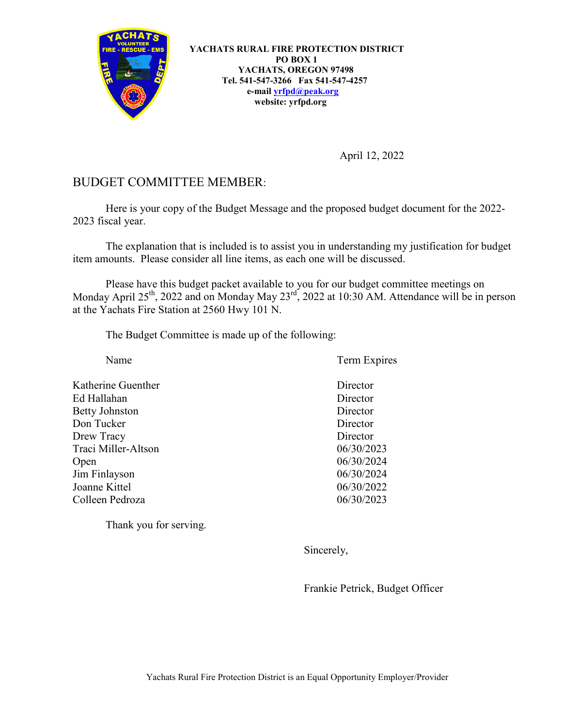

**YACHATS RURAL FIRE PROTECTION DISTRICT PO BOX 1 YACHATS, OREGON 97498 Tel. 541-547-3266 Fax 541-547-4257 e-mail [yrfpd@peak.org](mailto:yrfpd@peak.org) website: yrfpd.org**

April 12, 2022

## BUDGET COMMITTEE MEMBER:

Here is your copy of the Budget Message and the proposed budget document for the 2022- 2023 fiscal year.

The explanation that is included is to assist you in understanding my justification for budget item amounts. Please consider all line items, as each one will be discussed.

Please have this budget packet available to you for our budget committee meetings on Monday April 25<sup>th</sup>, 2022 and on Monday May 23<sup>rd</sup>, 2022 at 10:30 AM. Attendance will be in person at the Yachats Fire Station at 2560 Hwy 101 N.

The Budget Committee is made up of the following:

| Name                  | Term Expires |
|-----------------------|--------------|
| Katherine Guenther    | Director     |
| Ed Hallahan           | Director     |
| <b>Betty Johnston</b> | Director     |
| Don Tucker            | Director     |
| Drew Tracy            | Director     |
| Traci Miller-Altson   | 06/30/2023   |
| Open                  | 06/30/2024   |
| Jim Finlayson         | 06/30/2024   |
| Joanne Kittel         | 06/30/2022   |
| Colleen Pedroza       | 06/30/2023   |
|                       |              |

Thank you for serving.

Sincerely,

Frankie Petrick, Budget Officer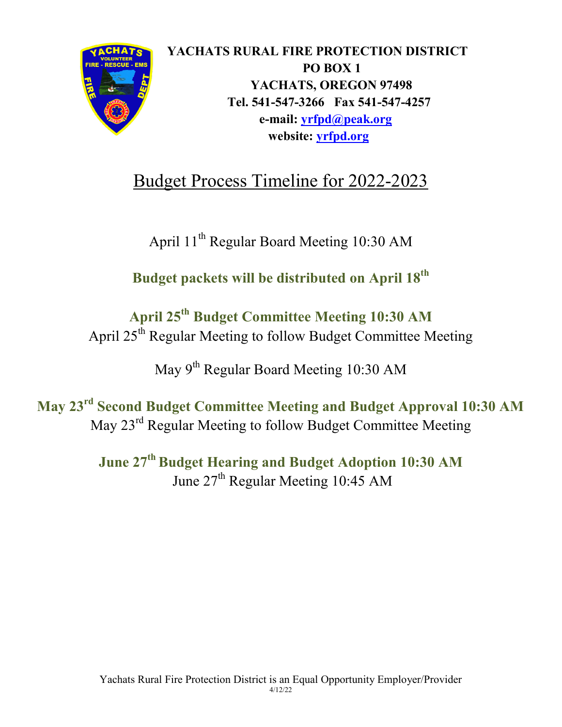

# Budget Process Timeline for 2022-2023

April 11th Regular Board Meeting 10:30 AM

**Budget packets will be distributed on April 18th**

# **April 25th Budget Committee Meeting 10:30 AM** April 25<sup>th</sup> Regular Meeting to follow Budget Committee Meeting

May  $9<sup>th</sup>$  Regular Board Meeting 10:30 AM

**May 23rd Second Budget Committee Meeting and Budget Approval 10:30 AM** May 23rd Regular Meeting to follow Budget Committee Meeting

> **June 27th Budget Hearing and Budget Adoption 10:30 AM** June 27<sup>th</sup> Regular Meeting 10:45 AM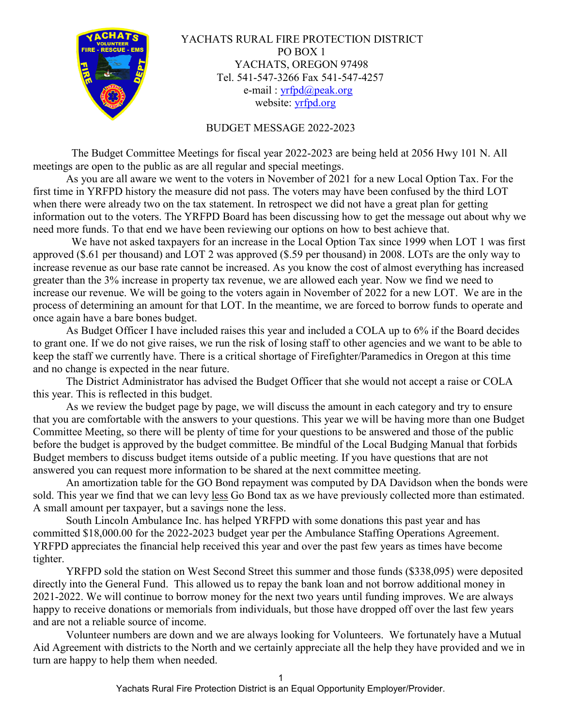

YACHATS RURAL FIRE PROTECTION DISTRICT PO BOX 1 YACHATS, OREGON 97498 Tel. 541-547-3266 Fax 541-547-4257 e-mail : [yrfpd@peak.org](mailto:yrfpd@peak.org) website: [yrfpd.org](http://www.yrfpd.org/)

#### BUDGET MESSAGE 2022-2023

 The Budget Committee Meetings for fiscal year 2022-2023 are being held at 2056 Hwy 101 N. All meetings are open to the public as are all regular and special meetings.

As you are all aware we went to the voters in November of 2021 for a new Local Option Tax. For the first time in YRFPD history the measure did not pass. The voters may have been confused by the third LOT when there were already two on the tax statement. In retrospect we did not have a great plan for getting information out to the voters. The YRFPD Board has been discussing how to get the message out about why we need more funds. To that end we have been reviewing our options on how to best achieve that.

 We have not asked taxpayers for an increase in the Local Option Tax since 1999 when LOT 1 was first approved (\$.61 per thousand) and LOT 2 was approved (\$.59 per thousand) in 2008. LOTs are the only way to increase revenue as our base rate cannot be increased. As you know the cost of almost everything has increased greater than the 3% increase in property tax revenue, we are allowed each year. Now we find we need to increase our revenue. We will be going to the voters again in November of 2022 for a new LOT. We are in the process of determining an amount for that LOT. In the meantime, we are forced to borrow funds to operate and once again have a bare bones budget.

As Budget Officer I have included raises this year and included a COLA up to 6% if the Board decides to grant one. If we do not give raises, we run the risk of losing staff to other agencies and we want to be able to keep the staff we currently have. There is a critical shortage of Firefighter/Paramedics in Oregon at this time and no change is expected in the near future.

The District Administrator has advised the Budget Officer that she would not accept a raise or COLA this year. This is reflected in this budget.

As we review the budget page by page, we will discuss the amount in each category and try to ensure that you are comfortable with the answers to your questions. This year we will be having more than one Budget Committee Meeting, so there will be plenty of time for your questions to be answered and those of the public before the budget is approved by the budget committee. Be mindful of the Local Budging Manual that forbids Budget members to discuss budget items outside of a public meeting. If you have questions that are not answered you can request more information to be shared at the next committee meeting.

An amortization table for the GO Bond repayment was computed by DA Davidson when the bonds were sold. This year we find that we can levy less Go Bond tax as we have previously collected more than estimated. A small amount per taxpayer, but a savings none the less.

South Lincoln Ambulance Inc. has helped YRFPD with some donations this past year and has committed \$18,000.00 for the 2022-2023 budget year per the Ambulance Staffing Operations Agreement. YRFPD appreciates the financial help received this year and over the past few years as times have become tighter.

YRFPD sold the station on West Second Street this summer and those funds (\$338,095) were deposited directly into the General Fund. This allowed us to repay the bank loan and not borrow additional money in 2021-2022. We will continue to borrow money for the next two years until funding improves. We are always happy to receive donations or memorials from individuals, but those have dropped off over the last few years and are not a reliable source of income.

Volunteer numbers are down and we are always looking for Volunteers. We fortunately have a Mutual Aid Agreement with districts to the North and we certainly appreciate all the help they have provided and we in turn are happy to help them when needed.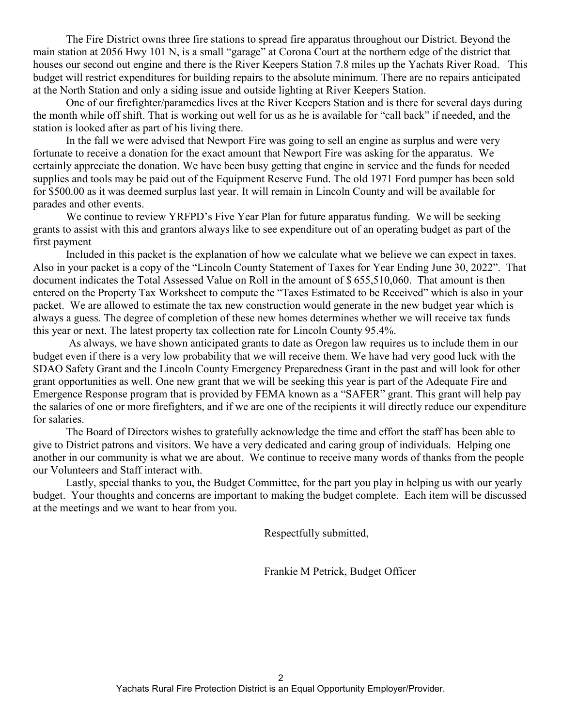The Fire District owns three fire stations to spread fire apparatus throughout our District. Beyond the main station at 2056 Hwy 101 N, is a small "garage" at Corona Court at the northern edge of the district that houses our second out engine and there is the River Keepers Station 7.8 miles up the Yachats River Road. This budget will restrict expenditures for building repairs to the absolute minimum. There are no repairs anticipated at the North Station and only a siding issue and outside lighting at River Keepers Station.

One of our firefighter/paramedics lives at the River Keepers Station and is there for several days during the month while off shift. That is working out well for us as he is available for "call back" if needed, and the station is looked after as part of his living there.

In the fall we were advised that Newport Fire was going to sell an engine as surplus and were very fortunate to receive a donation for the exact amount that Newport Fire was asking for the apparatus. We certainly appreciate the donation. We have been busy getting that engine in service and the funds for needed supplies and tools may be paid out of the Equipment Reserve Fund. The old 1971 Ford pumper has been sold for \$500.00 as it was deemed surplus last year. It will remain in Lincoln County and will be available for parades and other events.

We continue to review YRFPD's Five Year Plan for future apparatus funding. We will be seeking grants to assist with this and grantors always like to see expenditure out of an operating budget as part of the first payment

Included in this packet is the explanation of how we calculate what we believe we can expect in taxes. Also in your packet is a copy of the "Lincoln County Statement of Taxes for Year Ending June 30, 2022". That document indicates the Total Assessed Value on Roll in the amount of \$ 655,510,060. That amount is then entered on the Property Tax Worksheet to compute the "Taxes Estimated to be Received" which is also in your packet. We are allowed to estimate the tax new construction would generate in the new budget year which is always a guess. The degree of completion of these new homes determines whether we will receive tax funds this year or next. The latest property tax collection rate for Lincoln County 95.4%.

As always, we have shown anticipated grants to date as Oregon law requires us to include them in our budget even if there is a very low probability that we will receive them. We have had very good luck with the SDAO Safety Grant and the Lincoln County Emergency Preparedness Grant in the past and will look for other grant opportunities as well. One new grant that we will be seeking this year is part of the Adequate Fire and Emergence Response program that is provided by FEMA known as a "SAFER" grant. This grant will help pay the salaries of one or more firefighters, and if we are one of the recipients it will directly reduce our expenditure for salaries.

The Board of Directors wishes to gratefully acknowledge the time and effort the staff has been able to give to District patrons and visitors. We have a very dedicated and caring group of individuals. Helping one another in our community is what we are about. We continue to receive many words of thanks from the people our Volunteers and Staff interact with.

Lastly, special thanks to you, the Budget Committee, for the part you play in helping us with our yearly budget. Your thoughts and concerns are important to making the budget complete. Each item will be discussed at the meetings and we want to hear from you.

Respectfully submitted,

Frankie M Petrick, Budget Officer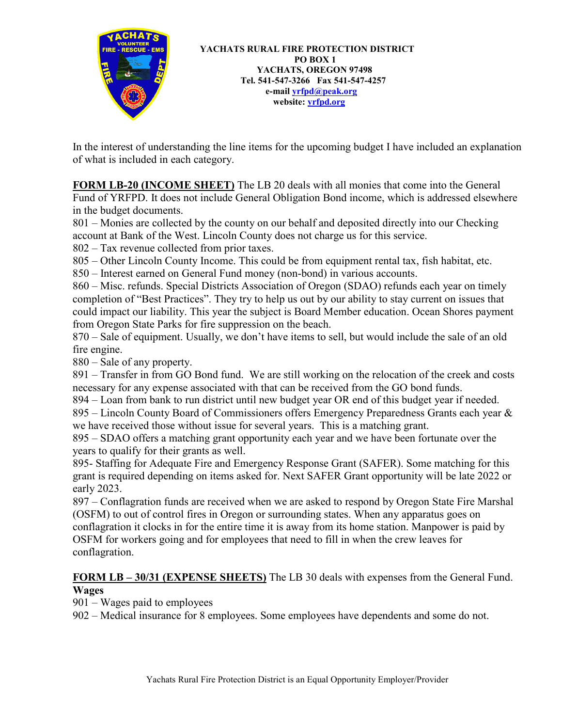

**YACHATS RURAL FIRE PROTECTION DISTRICT PO BOX 1 YACHATS, OREGON 97498 Tel. 541-547-3266 Fax 541-547-4257 e-mail [yrfpd@peak.org](mailto:yrfpd@peak.org) website: [yrfpd.org](http://www.yrfpd.org/)**

In the interest of understanding the line items for the upcoming budget I have included an explanation of what is included in each category.

**FORM LB-20 (INCOME SHEET)** The LB 20 deals with all monies that come into the General Fund of YRFPD. It does not include General Obligation Bond income, which is addressed elsewhere in the budget documents.

801 – Monies are collected by the county on our behalf and deposited directly into our Checking account at Bank of the West. Lincoln County does not charge us for this service.

802 – Tax revenue collected from prior taxes.

805 – Other Lincoln County Income. This could be from equipment rental tax, fish habitat, etc.

850 – Interest earned on General Fund money (non-bond) in various accounts.

860 – Misc. refunds. Special Districts Association of Oregon (SDAO) refunds each year on timely completion of "Best Practices". They try to help us out by our ability to stay current on issues that could impact our liability. This year the subject is Board Member education. Ocean Shores payment from Oregon State Parks for fire suppression on the beach.

870 – Sale of equipment. Usually, we don't have items to sell, but would include the sale of an old fire engine.

880 – Sale of any property.

891 – Transfer in from GO Bond fund. We are still working on the relocation of the creek and costs necessary for any expense associated with that can be received from the GO bond funds.

894 – Loan from bank to run district until new budget year OR end of this budget year if needed.

895 – Lincoln County Board of Commissioners offers Emergency Preparedness Grants each year & we have received those without issue for several years. This is a matching grant.

895 – SDAO offers a matching grant opportunity each year and we have been fortunate over the years to qualify for their grants as well.

895- Staffing for Adequate Fire and Emergency Response Grant (SAFER). Some matching for this grant is required depending on items asked for. Next SAFER Grant opportunity will be late 2022 or early 2023.

897 – Conflagration funds are received when we are asked to respond by Oregon State Fire Marshal (OSFM) to out of control fires in Oregon or surrounding states. When any apparatus goes on conflagration it clocks in for the entire time it is away from its home station. Manpower is paid by OSFM for workers going and for employees that need to fill in when the crew leaves for conflagration.

## **FORM LB – 30/31 (EXPENSE SHEETS)** The LB 30 deals with expenses from the General Fund. **Wages**

901 – Wages paid to employees

902 – Medical insurance for 8 employees. Some employees have dependents and some do not.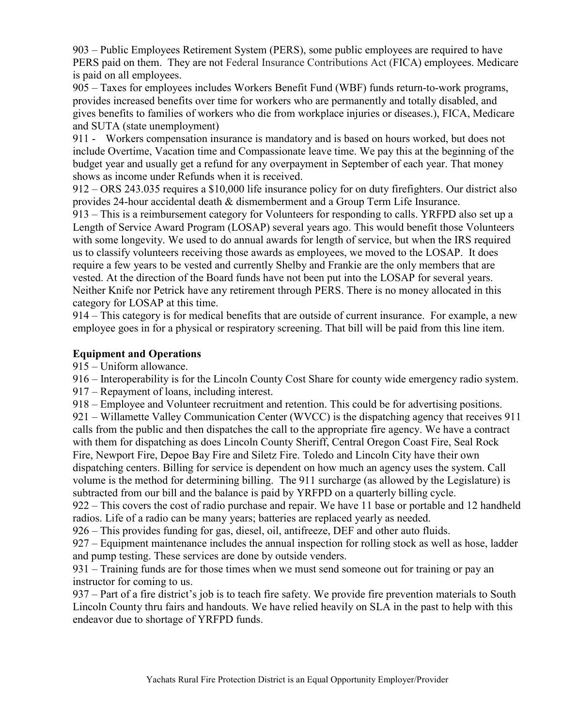903 – Public Employees Retirement System (PERS), some public employees are required to have PERS paid on them. They are not Federal Insurance Contributions Act (FICA) employees. Medicare is paid on all employees.

905 – Taxes for employees includes Workers Benefit Fund (WBF) funds return-to-work programs, provides increased benefits over time for workers who are permanently and totally disabled, and gives benefits to families of workers who die from workplace injuries or diseases.), FICA, Medicare and SUTA (state unemployment)

911 - Workers compensation insurance is mandatory and is based on hours worked, but does not include Overtime, Vacation time and Compassionate leave time. We pay this at the beginning of the budget year and usually get a refund for any overpayment in September of each year. That money shows as income under Refunds when it is received.

912 – ORS 243.035 requires a \$10,000 life insurance policy for on duty firefighters. Our district also provides 24-hour accidental death & dismemberment and a Group Term Life Insurance.

913 – This is a reimbursement category for Volunteers for responding to calls. YRFPD also set up a Length of Service Award Program (LOSAP) several years ago. This would benefit those Volunteers with some longevity. We used to do annual awards for length of service, but when the IRS required us to classify volunteers receiving those awards as employees, we moved to the LOSAP. It does require a few years to be vested and currently Shelby and Frankie are the only members that are vested. At the direction of the Board funds have not been put into the LOSAP for several years. Neither Knife nor Petrick have any retirement through PERS. There is no money allocated in this category for LOSAP at this time.

914 – This category is for medical benefits that are outside of current insurance. For example, a new employee goes in for a physical or respiratory screening. That bill will be paid from this line item.

## **Equipment and Operations**

915 – Uniform allowance.

916 – Interoperability is for the Lincoln County Cost Share for county wide emergency radio system.

917 – Repayment of loans, including interest.

918 – Employee and Volunteer recruitment and retention. This could be for advertising positions.

921 – Willamette Valley Communication Center (WVCC) is the dispatching agency that receives 911 calls from the public and then dispatches the call to the appropriate fire agency. We have a contract with them for dispatching as does Lincoln County Sheriff, Central Oregon Coast Fire, Seal Rock Fire, Newport Fire, Depoe Bay Fire and Siletz Fire. Toledo and Lincoln City have their own dispatching centers. Billing for service is dependent on how much an agency uses the system. Call volume is the method for determining billing. The 911 surcharge (as allowed by the Legislature) is subtracted from our bill and the balance is paid by YRFPD on a quarterly billing cycle.

922 – This covers the cost of radio purchase and repair. We have 11 base or portable and 12 handheld radios. Life of a radio can be many years; batteries are replaced yearly as needed.

926 – This provides funding for gas, diesel, oil, antifreeze, DEF and other auto fluids.

927 – Equipment maintenance includes the annual inspection for rolling stock as well as hose, ladder and pump testing. These services are done by outside venders.

931 – Training funds are for those times when we must send someone out for training or pay an instructor for coming to us.

937 – Part of a fire district's job is to teach fire safety. We provide fire prevention materials to South Lincoln County thru fairs and handouts. We have relied heavily on SLA in the past to help with this endeavor due to shortage of YRFPD funds.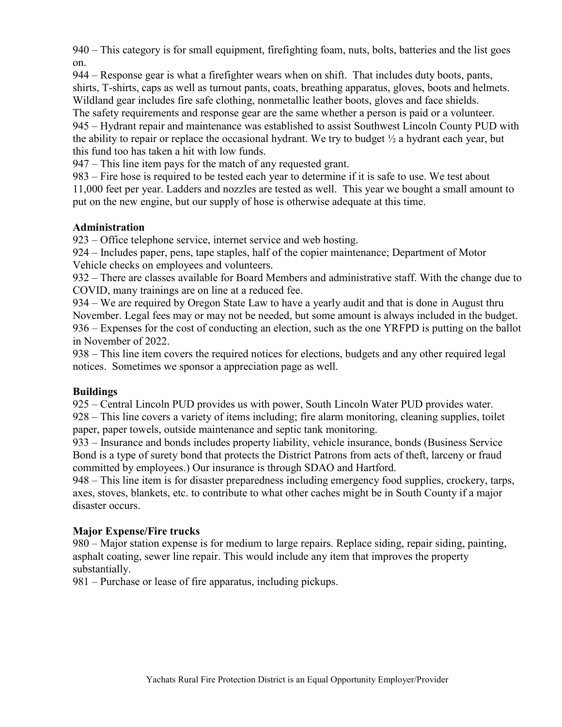940 – This category is for small equipment, firefighting foam, nuts, bolts, batteries and the list goes on.

944 – Response gear is what a firefighter wears when on shift. That includes duty boots, pants, shirts, T-shirts, caps as well as turnout pants, coats, breathing apparatus, gloves, boots and helmets. Wildland gear includes fire safe clothing, nonmetallic leather boots, gloves and face shields.

The safety requirements and response gear are the same whether a person is paid or a volunteer. 945 – Hydrant repair and maintenance was established to assist Southwest Lincoln County PUD with the ability to repair or replace the occasional hydrant. We try to budget  $\frac{1}{2}$  a hydrant each year, but this fund too has taken a hit with low funds.

947 – This line item pays for the match of any requested grant.

983 – Fire hose is required to be tested each year to determine if it is safe to use. We test about 11,000 feet per year. Ladders and nozzles are tested as well. This year we bought a small amount to put on the new engine, but our supply of hose is otherwise adequate at this time.

## **Administration**

923 – Office telephone service, internet service and web hosting.

924 – Includes paper, pens, tape staples, half of the copier maintenance; Department of Motor Vehicle checks on employees and volunteers.

932 – There are classes available for Board Members and administrative staff. With the change due to COVID, many trainings are on line at a reduced fee.

934 – We are required by Oregon State Law to have a yearly audit and that is done in August thru November. Legal fees may or may not be needed, but some amount is always included in the budget. 936 – Expenses for the cost of conducting an election, such as the one YRFPD is putting on the ballot in November of 2022.

938 – This line item covers the required notices for elections, budgets and any other required legal notices. Sometimes we sponsor a appreciation page as well.

## **Buildings**

925 – Central Lincoln PUD provides us with power, South Lincoln Water PUD provides water. 928 – This line covers a variety of items including; fire alarm monitoring, cleaning supplies, toilet paper, paper towels, outside maintenance and septic tank monitoring.

933 – Insurance and bonds includes property liability, vehicle insurance, bonds (Business Service Bond is a type of surety bond that protects the District Patrons from acts of theft, larceny or fraud committed by employees.) Our insurance is through SDAO and Hartford.

948 – This line item is for disaster preparedness including emergency food supplies, crockery, tarps, axes, stoves, blankets, etc. to contribute to what other caches might be in South County if a major disaster occurs.

### **Major Expense/Fire trucks**

980 – Major station expense is for medium to large repairs. Replace siding, repair siding, painting, asphalt coating, sewer line repair. This would include any item that improves the property substantially.

981 – Purchase or lease of fire apparatus, including pickups.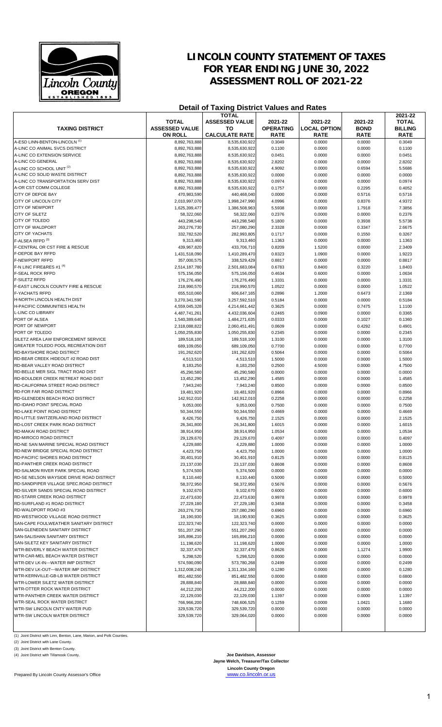

# **LINCOLN COUNTY STATEMENT OF TAXES FOR YEAR ENDING JUNE 30, 2022 ASSESSMENT ROLL OF 2021-22**

## **Detail of Taxing District Values and Rates**

|                                          |                       | TOTAL                 |                  |                     |             | 2021-22        |
|------------------------------------------|-----------------------|-----------------------|------------------|---------------------|-------------|----------------|
|                                          | <b>TOTAL</b>          | <b>ASSESSED VALUE</b> | 2021-22          | 2021-22             | 2021-22     | <b>TOTAL</b>   |
| <b>TAXING DISTRICT</b>                   | <b>ASSESSED VALUE</b> | то                    | <b>OPERATING</b> | <b>LOCAL OPTION</b> | <b>BOND</b> | <b>BILLING</b> |
|                                          | <b>ON ROLL</b>        | <b>CALCULATE RATE</b> | <b>RATE</b>      | <b>RATE</b>         | <b>RATE</b> | <b>RATE</b>    |
| A-ESD LINN-BENTON-LINCOLN <sup>(1)</sup> | 8,892,763,888         | 8,535,630,922         | 0.3049           | 0.0000              | 0.0000      | 0.3049         |
| A-LINC CO ANIMAL SVCS DISTRICT           | 8,892,763,888         | 8,535,630,922         | 0.1100           | 0.0000              | 0.0000      | 0.1100         |
| A-LINC CO EXTENSION SERVICE              | 8,892,763,888         | 8,535,630,922         | 0.0451           | 0.0000              | 0.0000      | 0.0451         |
| A-LINC CO GENERAL                        | 8,892,763,888         | 8.535.630.922         | 2.8202           | 0.0000              | 0.0000      | 2.8202         |
| A-LINC CO SCHOOL UNIT (2)                | 8,892,763,888         | 8,535,630,922         | 4.9092           | 0.0000              | 0.6594      | 5.5686         |
| A-LINC CO SOLID WASTE DISTRICT           | 8,892,763,888         | 8,535,630,922         | 0.0000           | 0.0000              | 0.0000      | 0.0000         |
| A-LINC CO TRANSPORTATION SERV DIST       | 8,892,763,888         | 8,535,630,922         | 0.0974           | 0.0000              | 0.0000      | 0.0974         |
| A-OR CST COMM COLLEGE                    | 8.892.763.888         | 8,535,630,922         | 0.1757           | 0.0000              | 0.2295      | 0.4052         |
| CITY OF DEPOE BAY                        | 470,983,590           | 440,468,040           | 0.0000           | 0.0000              | 0.5716      | 0.5716         |
| CITY OF LINCOLN CITY                     | 2,010,997,070         | 1,998,247,990         | 4.0996           | 0.0000              | 0.8376      | 4.9372         |
| <b>CITY OF NEWPORT</b>                   | 1,625,399,477         | 1,386,508,963         | 5.5938           | 0.0000              | 1.7918      | 7.3856         |
| <b>CITY OF SILETZ</b>                    | 58,322,060            | 58,322,060            | 0.2376           | 0.0000              | 0.0000      | 0.2376         |
| CITY OF TOLEDO                           | 443,298,540           | 443,298,540           | 5.1800           | 0.0000              | 0.3938      | 5.5738         |
| <b>CITY OF WALDPORT</b>                  | 263,276,730           | 257,080,290           | 2.3328           | 0.0000              | 0.3347      | 2.6675         |
| <b>CITY OF YACHATS</b>                   | 332,782,520           | 282,993,805           | 0.1717           | 0.0000              | 0.1550      | 0.3267         |
| F-ALSEA RFPD <sup>(3)</sup>              | 9,313,460             | 9,313,460             | 1.1363           | 0.0000              | 0.0000      | 1.1363         |
| F-CENTRAL OR CST FIRE & RESCUE           | 439,967,820           | 433,706,710           | 0.8209           | 1.5200              | 0.0000      | 2.3409         |
| F-DEPOE BAY RFPD                         | 1,431,518,090         | 1,410,289,470         | 0.8323           | 1.0900              | 0.0000      | 1.9223         |
| <b>F-NEWPORT RFPD</b>                    | 357,000,575           | 338,529,429           | 0.8817           | 0.0000              | 0.0000      | 0.8817         |
| F-N LINC FIRE&RES #1 (4)                 | 2,514,187,780         | 2,501,683,084         | 0.6783           | 0.8400              | 0.3220      | 1.8403         |
| <b>F-SEAL ROCK RFPD</b>                  | 575,156,050           | 575,156,050           | 0.4634           | 0.6000              | 0.0000      | 1.0634         |
| <b>F-SILETZ RFPD</b>                     | 176,276,490           | 176,276,490           | 1.3331           | 0.0000              | 0.0000      | 1.3331         |
| F-EAST LINCOLN COUNTY FIRE & RESCUE      | 218,990,570           | 218,990,570           | 1.0522           | 0.0000              | 0.0000      | 1.0522         |
| <b>F-YACHATS RFPD</b>                    | 655,510,060           | 606,647,165           | 0.2896           | 1.2000              | 0.6473      | 2.1369         |
| H-NORTH LINCOLN HEALTH DIST              | 3,270,341,590         | 3,257,592,510         | 0.5184           | 0.0000              | 0.0000      | 0.5184         |
| H-PACIFIC COMMUNITIES HEALTH             | 4,559,045,328         | 4,214,661,442         | 0.3625           | 0.0000              | 0.7475      | 1.1100         |
| L-LINC CO LIBRARY                        | 4,487,741,261         | 4,432,036,604         | 0.2465           | 0.0900              | 0.0000      | 0.3365         |
| PORT OF ALSEA                            | 1,540,389,640         | 1,484,271,635         | 0.0333           | 0.0000              | 0.1027      | 0.1360         |
| PORT OF NEWPORT                          | 2,318,088,822         | 2,060,451,491         | 0.0609           | 0.0000              | 0.4292      | 0.4901         |
| PORT OF TOLEDO                           | 1,050,255,830         | 1,050,255,830         | 0.2345           | 0.0000              | 0.0000      | 0.2345         |
| SILETZ AREA LAW ENFORCEMENT SERVICE      | 189,518,100           | 189,518,100           | 1.3100           | 0.0000              | 0.0000      | 1.3100         |
| GREATER TOLEDO POOL RECREATION DIST      | 689,109,050           | 689,109,050           | 0.7700           | 0.0000              | 0.0000      | 0.7700         |
| RD-BAYSHORE ROAD DISTRICT                | 191,262,620           | 191,262,620           | 0.5064           | 0.0000              | 0.0000      | 0.5064         |
| RD-BEAR CREEK HIDEOUT #2 ROAD DIST       | 4,513,510             | 4,513,510             | 1.5000           | 0.0000              | 0.0000      | 1.5000         |
| RD-BEAR VALLEY ROAD DISTRICT             | 8,183,250             | 8,183,250             | 0.2500           | 4.5000              | 0.0000      | 4.7500         |
| RD-BELLE MER SIGL TRACT ROAD DIST        | 45,290,580            | 45,290,580            | 0.0000           | 0.0000              | 0.0000      | 0.0000         |
| RD-BOULDER CREEK RETREAT ROAD DIST       | 13,452,290            | 13,452,290            | 1.4585           | 0.0000              | 0.0000      | 1.4585         |
| RD-CALIFORNIA STREET ROAD DISTRICT       | 7,943,240             | 7,943,240             | 0.8500           | 0.0000              | 0.0000      | 0.8500         |
| RD-FOR FAR ROAD DISTRICT                 | 19,481,920            | 19,481,920            | 0.8966           | 0.0000              | 0.0000      | 0.8966         |
| RD-GLENEDEN BEACH ROAD DISTRICT          | 142,912,010           | 142,912,010           | 0.2258           | 0.0000              | 0.0000      | 0.2258         |
| RD-IDAHO POINT SPECIAL ROAD              | 9.053.000             | 9.053.000             | 0.7500           | 0.0000              | 0.0000      | 0.7500         |
| <b>RD-LAKE POINT ROAD DISTRICT</b>       | 50,344,550            | 50,344,550            | 0.4669           | 0.0000              | 0.0000      | 0.4669         |
| RD-LITTLE SWITZERLAND ROAD DISTRICT      | 9,426,750             | 9.426.750             | 2.1525           | 0.0000              | 0.0000      | 2.1525         |
| RD-LOST CREEK PARK ROAD DISTRICT         | 26,341,800            | 26,341,800            | 1.6015           | 0.0000              | 0.0000      | 1.6015         |
| RD-MAKAI ROAD DISTRICT                   | 38,914,950            | 38.914.950            | 1.0534           | 0.0000              | 0.0000      | 1.0534         |
| RD-MIROCO ROAD DISTRICT                  | 29,129,670            | 29,129,670            | 0.4097           | 0.0000              | 0.0000      | 0.4097         |
| RD-NE SAN MARINE SPECIAL ROAD DISTRICT   | 4,229,880             | 4,229,880             | 1.0000           | 0.0000              | 0.0000      | 1.0000         |
| RD-NEW BRIDGE SPECIAL ROAD DISTRICT      | 4,423,750             | 4,423,750             | 1.0000           | 0.0000              | 0.0000      | 1.0000         |
| <b>RD-PACIFIC SHORES ROAD DISTRICT</b>   | 30,401,910            | 30,401,910            | 0.8125           | 0.0000              | 0.0000      | 0.8125         |
| RD-PANTHER CREEK ROAD DISTRICT           | 23,137,030            | 23,137,030            | 0.8608           | 0.0000              | 0.0000      | 0.8608         |
| RD-SALMON RIVER PARK SPECIAL ROAD        | 5,374,500             | 5,374,500             | 0.0000           | 0.0000              | 0.0000      | 0.0000         |
| RD-SE NELSON WAYSIDE DRIVE ROAD DISTRICT | 8,110,440             | 8,110,440             | 0.5000           | 0.0000              | 0.0000      | 0.5000         |
| RD-SANDPIPER VILLAGE SPEC.ROAD DISTRICT  | 58,372,950            | 58,372,950            | 0.5676           | 0.0000              | 0.0000      | 0.5676         |
| RD-SILVER SANDS SPECIAL ROAD DISTRICT    | 9,102,670             | 9,102,670             | 0.6000           | 0.0000              | 0.0000      | 0.6000         |
| RD-STARR CREEK ROAD DISTRICT             | 22,473,630            | 22,473,630            | 0.9978           | 0.0000              | 0.0000      | 0.9978         |
| RD-SURFLAND #1 ROAD DISTRICT             | 27,229,180            | 27,229,180            | 0.3458           | 0.0000              | 0.0000      | 0.3458         |
| RD-WALDPORT ROAD #3                      | 263,276,730           | 257,080,290           | 0.6960           | 0.0000              | 0.0000      | 0.6960         |
| RD-WESTWOOD VILLAGE ROAD DISTRICT        | 18,190,930            | 18.190.930            | 0.3625           | 0.0000              | 0.0000      | 0.3625         |
| SAN-CAPE FOULWEATHER SANITARY DISTRICT   | 122,323,740           | 122,323,740           | 0.0000           | 0.0000              | 0.0000      | 0.0000         |
| SAN-GLENEDEN SANITARY DISTRICT           | 551,207,290           | 551,207,290           | 0.0000           | 0.0000              | 0.0000      | 0.0000         |
| SAN-SALISHAN SANITARY DISTRICT           | 165,896,210           | 165,896,210           | 0.0000           | 0.0000              | 0.0000      | 0.0000         |
| SAN-SILETZ KEY SANITARY DISTRICT         | 11,198,620            | 11,198,620            | 1.0000           | 0.0000              | 0.0000      | 1.0000         |
| WTR-BEVERLY BEACH WATER DISTRICT         | 32,337,470            | 32,337,470            | 0.8626           | 0.0000              | 1.1274      | 1.9900         |
| WTR-CAR-MEL BEACH WATER DISTRICT         | 5,298,520             | 5,298,520             | 0.0000           | 0.0000              | 0.0000      | 0.0000         |
| WTR-DEV LK-IN---WATER IMP DISTRICT       | 574,590,090           | 573,780,268           | 0.2499           | 0.0000              | 0.0000      | 0.2499         |
| WTR-DEV LK-OUT---WATER IMP DISTRICT      | 1,312,008,240         | 1,311,334,160         | 0.1280           | 0.0000              | 0.0000      | 0.1280         |
| WTR-KERNVILLE-GB-LB WATER DISTRICT       | 851,482,550           | 851,482,550           | 0.0000           | 0.6800              | 0.0000      | 0.6800         |
| WTR-LOWER SILETZ WATER DISTRICT          | 28,888,840            | 28,888,840            | 0.0000           | 0.0000              | 0.0000      | 0.0000         |
| WTR-OTTER ROCK WATER DISTRICT            | 44,212,200            | 44,212,200            | 0.0000           | 0.0000              | 0.0000      | 0.0000         |
| WTR-PANTHER CREEK WATER DISTRICT         | 22,129,030            | 22,129,030            | 1.1397           | 0.0000              | 0.0000      | 1.1397         |
| WTR-SEAL ROCK WATER DISTRICT             | 766,966,200           | 748,606,525           | 0.1259           | 0.0000              | 1.0421      | 1.1680         |
| WTR-SW LINCOLN CNTY WATER PUD            | 329,539,720           | 329,539,720           | 0.0000           | 0.0000              | 0.0000      | 0.0000         |
| WTR-SW LINCOLN WATER DISTRICT            | 329,539,720           | 329,064,020           | 0.0000           | 0.0000              | 0.0000      | 0.0000         |
|                                          |                       |                       |                  |                     |             |                |

(1) Joint District with Linn, Benton, Lane, Marion, and Polk Counties.

(2) Joint District with Lane County.

(3) Joint District with Benton County.

(4) Joint District with Tillamook County.

Prepared By Lincoln County Assessor's Office

**Joe Davidson, Assessor Jayne Welch, Treasurer/Tax Collector Lincoln County Oregon**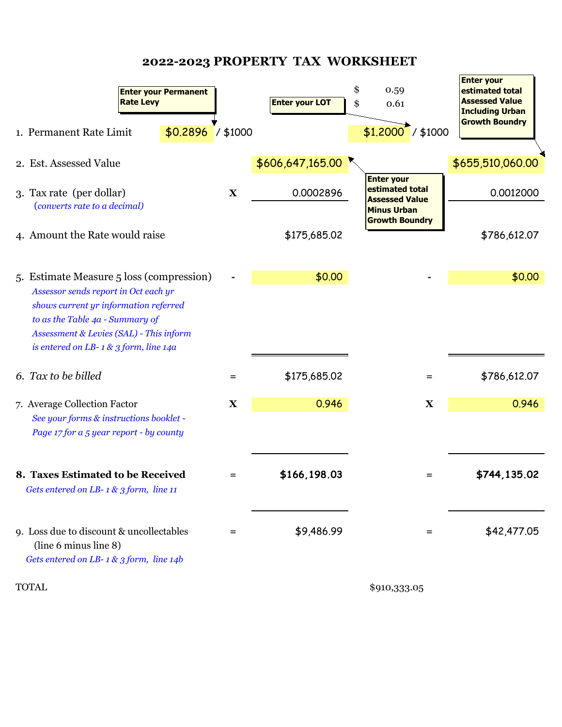# **2022-2023 PROPERTY TAX WORKSHEET**

 $\overline{ }$ 

| <b>Enter your Permanent</b><br><b>Rate Levy</b><br>$$0.2896$ / \$1000<br>1. Permanent Rate Limit                                                                                                                                                 |             | <b>Enter your LOT</b> | \$<br>0.59<br>\$<br>0.61<br>$$1,2000$ / \$1000                                                               | <b>Enter your</b><br>estimated total<br><b>Assessed Value</b><br><b>Including Urban</b><br><b>Growth Boundry</b> |
|--------------------------------------------------------------------------------------------------------------------------------------------------------------------------------------------------------------------------------------------------|-------------|-----------------------|--------------------------------------------------------------------------------------------------------------|------------------------------------------------------------------------------------------------------------------|
| 2. Est. Assessed Value                                                                                                                                                                                                                           |             | \$606,647,165.00      |                                                                                                              | \$655,510,060.00                                                                                                 |
| 3. Tax rate (per dollar)<br>(converts rate to a decimal)                                                                                                                                                                                         | $\mathbf X$ | 0.0002896             | <b>Enter your</b><br>estimated total<br><b>Assessed Value</b><br><b>Minus Urban</b><br><b>Growth Boundry</b> | 0.0012000                                                                                                        |
| 4. Amount the Rate would raise                                                                                                                                                                                                                   |             | \$175,685.02          |                                                                                                              | \$786,612.07                                                                                                     |
| 5. Estimate Measure 5 loss (compression)<br>Assessor sends report in Oct each yr<br>shows current yr information referred<br>to as the Table 4a - Summary of<br>Assessment & Levies (SAL) - This inform<br>is entered on LB-1 & 3 form, line 14a |             | \$0.00                |                                                                                                              | \$0.00                                                                                                           |
| 6. Tax to be billed                                                                                                                                                                                                                              | $=$         | \$175,685.02          | $=$                                                                                                          | \$786,612.07                                                                                                     |
| 7. Average Collection Factor<br>See your forms & instructions booklet -<br>Page 17 for a 5 year report - by county                                                                                                                               | $\mathbf X$ | 0.946                 | $\mathbf X$                                                                                                  | 0.946                                                                                                            |
| 8. Taxes Estimated to be Received<br>Gets entered on LB-1 & 3 form, line 11                                                                                                                                                                      |             | \$166,198.03          | =                                                                                                            | \$744,135.02                                                                                                     |
| 9. Loss due to discount & uncollectables<br>(line 6 minus line 8)<br>Gets entered on LB-1 & 3 form, line 14b                                                                                                                                     | $=$         | \$9,486.99            | $=$                                                                                                          | \$42,477.05                                                                                                      |
| <b>TOTAL</b>                                                                                                                                                                                                                                     |             |                       | \$910,333.05                                                                                                 |                                                                                                                  |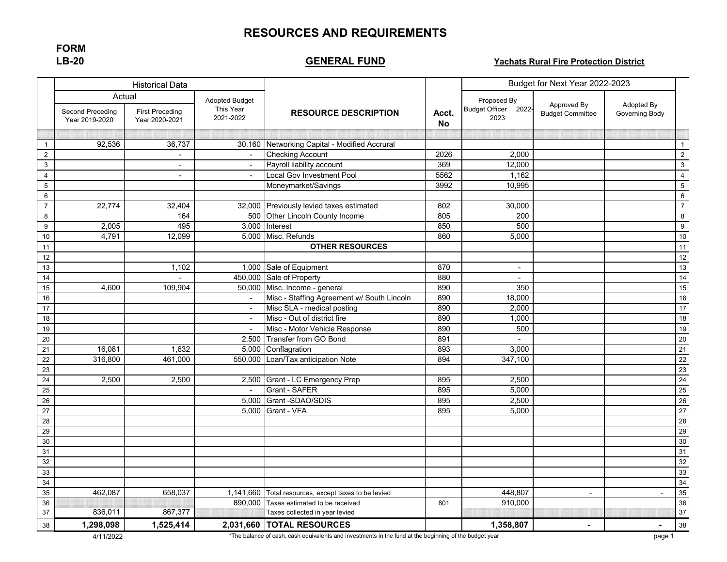## **RESOURCES AND REQUIREMENTS**

**FORM LB-20**

## **GENERAL FUND**

#### **Yachats Rural Fire Protection District**

| <b>Historical Data</b> |                                    |                                          |                          |                                                                                                        |                    | Budget for Next Year 2022-2023         |                                        |                              |                  |
|------------------------|------------------------------------|------------------------------------------|--------------------------|--------------------------------------------------------------------------------------------------------|--------------------|----------------------------------------|----------------------------------------|------------------------------|------------------|
|                        | Actual                             |                                          | <b>Adopted Budget</b>    |                                                                                                        |                    | Proposed By                            |                                        |                              |                  |
|                        | Second Preceding<br>Year 2019-2020 | <b>First Preceding</b><br>Year 2020-2021 | This Year<br>2021-2022   | <b>RESOURCE DESCRIPTION</b>                                                                            | Acct.<br><b>No</b> | <b>Budget Officer</b><br>2022-<br>2023 | Approved By<br><b>Budget Committee</b> | Adopted By<br>Governing Body |                  |
|                        |                                    |                                          |                          |                                                                                                        |                    |                                        |                                        |                              |                  |
| $\mathbf{1}$           | 92,536                             | 36,737                                   |                          | 30,160 Networking Capital - Modified Accrural                                                          |                    |                                        |                                        |                              | $\mathbf{1}$     |
| $\overline{2}$         |                                    | $\blacksquare$                           | $\blacksquare$           | <b>Checking Account</b>                                                                                | 2026               | 2,000                                  |                                        |                              | $\overline{2}$   |
| $\mathbf{3}$           |                                    |                                          | $\overline{\phantom{a}}$ | Payroll liability account                                                                              | 369                | 12,000                                 |                                        |                              | $\sqrt{3}$       |
| $\overline{4}$         |                                    | $\sim$                                   |                          | Local Gov Investment Pool                                                                              | 5562               | 1,162                                  |                                        |                              | $\overline{4}$   |
| $\,$ 5 $\,$            |                                    |                                          |                          | Moneymarket/Savings                                                                                    | 3992               | 10,995                                 |                                        |                              | $\overline{5}$   |
| 6                      |                                    |                                          |                          |                                                                                                        |                    |                                        |                                        |                              | $\,6\,$          |
| $\overline{7}$         | 22,774                             | 32,404                                   | 32,000                   | Previously levied taxes estimated                                                                      | 802                | 30,000                                 |                                        |                              | $\overline{7}$   |
| 8                      |                                    | 164                                      |                          | 500 Other Lincoln County Income                                                                        | 805                | 200                                    |                                        |                              | $\bf 8$          |
| 9                      | 2,005                              | 495                                      | 3,000                    | Interest                                                                                               | 850                | 500                                    |                                        |                              | $\boldsymbol{9}$ |
| 10                     | 4,791                              | 12,099                                   | 5,000                    | Misc. Refunds                                                                                          | 860                | 5,000                                  |                                        |                              | 10               |
| 11                     |                                    |                                          |                          | <b>OTHER RESOURCES</b>                                                                                 |                    |                                        |                                        |                              | $\overline{11}$  |
| 12                     |                                    |                                          |                          |                                                                                                        |                    |                                        |                                        |                              | 12               |
| 13                     |                                    | 1,102                                    | 1,000                    | Sale of Equipment                                                                                      | 870                | $\sim$                                 |                                        |                              | 13               |
| 14                     |                                    |                                          | 450,000                  | Sale of Property                                                                                       | 880                | $\blacksquare$                         |                                        |                              | 14               |
| 15                     | 4,600                              | 109,904                                  | 50.000                   | Misc. Income - general                                                                                 | 890                | 350                                    |                                        |                              | 15               |
| 16                     |                                    |                                          | $\blacksquare$           | Misc - Staffing Agreement w/ South Lincoln                                                             | 890                | 18,000                                 |                                        |                              | 16               |
| 17                     |                                    |                                          | $\overline{\phantom{a}}$ | Misc SLA - medical posting                                                                             | 890                | 2,000                                  |                                        |                              | 17               |
| 18                     |                                    |                                          | $\overline{\phantom{a}}$ | Misc - Out of district fire                                                                            | 890                | 1,000                                  |                                        |                              | 18               |
| 19                     |                                    |                                          | $\sim$                   | Misc - Motor Vehicle Response                                                                          | 890                | 500                                    |                                        |                              | 19               |
| $\overline{20}$        |                                    |                                          | 2,500                    | <b>Transfer from GO Bond</b>                                                                           | 891                |                                        |                                        |                              | 20               |
| $\overline{21}$        | 16,081                             | 1,632                                    | 5,000                    | Conflagration                                                                                          | 893                | 3,000                                  |                                        |                              | $\overline{21}$  |
| 22                     | 316.800                            | 461,000                                  | 550,000                  | Loan/Tax anticipation Note                                                                             | 894                | 347,100                                |                                        |                              | $\overline{22}$  |
| 23                     |                                    |                                          |                          |                                                                                                        |                    |                                        |                                        |                              | 23               |
| $\overline{24}$        | 2,500                              | 2,500                                    | 2,500                    | Grant - LC Emergency Prep                                                                              | 895                | 2,500                                  |                                        |                              | 24               |
| $\overline{25}$        |                                    |                                          | $\sim$                   | Grant - SAFER                                                                                          | 895                | 5,000                                  |                                        |                              | 25               |
| 26                     |                                    |                                          | 5,000                    | Grant -SDAO/SDIS                                                                                       | 895                | 2,500                                  |                                        |                              | 26               |
| $\overline{27}$        |                                    |                                          | 5,000                    | Grant - VFA                                                                                            | 895                | 5,000                                  |                                        |                              | 27               |
| 28                     |                                    |                                          |                          |                                                                                                        |                    |                                        |                                        |                              | 28               |
| 29                     |                                    |                                          |                          |                                                                                                        |                    |                                        |                                        |                              | 29               |
| 30                     |                                    |                                          |                          |                                                                                                        |                    |                                        |                                        |                              | 30               |
| 31                     |                                    |                                          |                          |                                                                                                        |                    |                                        |                                        |                              | 31               |
| 32                     |                                    |                                          |                          |                                                                                                        |                    |                                        |                                        |                              | 32               |
| 33                     |                                    |                                          |                          |                                                                                                        |                    |                                        |                                        |                              | 33               |
| 34                     |                                    |                                          |                          |                                                                                                        |                    |                                        |                                        |                              | 34               |
| 35                     | 462,087                            | 658,037                                  | 1,141,660                | Total resources, except taxes to be levied                                                             |                    | 448,807                                | $\blacksquare$                         |                              | 35               |
| 36                     |                                    |                                          | 890.000                  | Taxes estimated to be received                                                                         | 801                | 910.000                                |                                        |                              | 36               |
| 37                     | 836,011                            | 867,377                                  |                          | Taxes collected in year levied                                                                         |                    |                                        |                                        |                              | 37               |
| 38                     | 1,298,098                          | 1,525,414                                |                          | 2,031,660 TOTAL RESOURCES                                                                              |                    | 1,358,807                              | $\blacksquare$                         | $\blacksquare$               | 38               |
|                        | 4/11/2022                          |                                          |                          | *The balance of cash, cash equivalents and investments in the fund at the beginning of the budget year |                    |                                        |                                        | page 1                       |                  |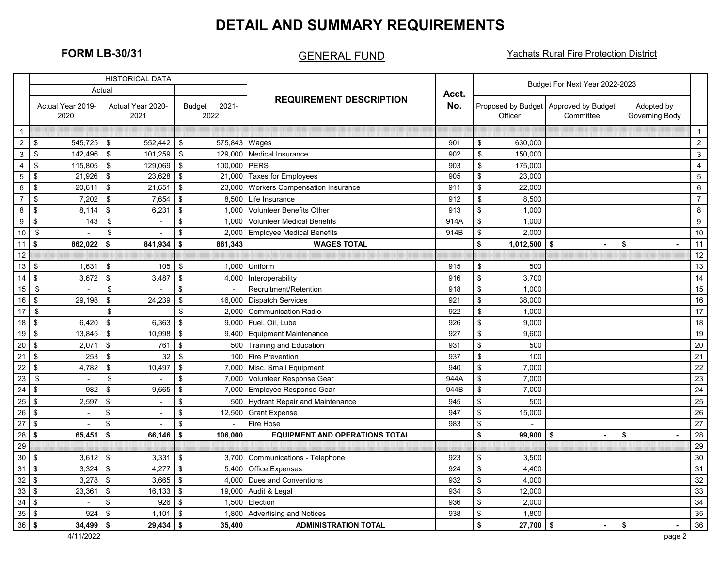# **DETAIL AND SUMMARY REQUIREMENTS**

## GENERAL FUND

**FORM LB-30/31 CENFRAL FUND Yachats Rural Fire Protection District** 

|                              |                                      | <b>HISTORICAL DATA</b>                |                            |                                       |       |                                    | Budget For Next Year 2022-2023                     |                              |                  |  |  |
|------------------------------|--------------------------------------|---------------------------------------|----------------------------|---------------------------------------|-------|------------------------------------|----------------------------------------------------|------------------------------|------------------|--|--|
|                              | Actual                               |                                       |                            |                                       | Acct. |                                    |                                                    |                              |                  |  |  |
|                              | Actual Year 2019-<br>2020            | Actual Year 2020-<br>2021             | $2021 -$<br>Budget<br>2022 | <b>REQUIREMENT DESCRIPTION</b>        | No.   | Officer                            | Proposed by Budget Approved by Budget<br>Committee | Adopted by<br>Governing Body |                  |  |  |
| $\overline{1}$               |                                      |                                       |                            |                                       |       |                                    |                                                    |                              | $\mathbf{1}$     |  |  |
| $\overline{c}$               | 545.725<br>\$                        | \$<br>552,442                         | \$<br>575,843              | Wages                                 | 901   | \$<br>630.000                      |                                                    |                              | $\overline{2}$   |  |  |
| 3                            | \$<br>142,496                        | \$<br>101,259                         | \$<br>129,000              | <b>Medical Insurance</b>              | 902   | $\sqrt[6]{2}$<br>150,000           |                                                    |                              | $\mathbf{3}$     |  |  |
| 4                            | \$<br>115,805                        | $\boldsymbol{\mathsf{\$}}$<br>129,069 | \$<br>100,000              | <b>PERS</b>                           | 903   | \$<br>175,000                      |                                                    |                              | $\overline{4}$   |  |  |
| $\sqrt{5}$                   | \$<br>21,926                         | \$<br>23,628                          | \$<br>21,000               | <b>Taxes for Employees</b>            | 905   | $\sqrt[6]{2}$<br>23,000            |                                                    |                              | $\,$ 5 $\,$      |  |  |
| 6                            | \$<br>20,611                         | $\sqrt[6]{\frac{1}{2}}$<br>21,651     | \$<br>23,000               | <b>Workers Compensation Insurance</b> | 911   | $\sqrt[6]{\frac{1}{2}}$<br>22,000  |                                                    |                              | 6                |  |  |
| $\overline{7}$               | \$<br>7,202                          | \$<br>7,654                           | \$<br>8.500                | Life Insurance                        | 912   | \$<br>8,500                        |                                                    |                              | $\overline{7}$   |  |  |
| 8                            | $\mathfrak{s}$<br>8.114              | \$<br>6,231                           | \$<br>1.000                | <b>Volunteer Benefits Other</b>       | 913   | $\mathfrak{s}$<br>1.000            |                                                    |                              | 8                |  |  |
| 9                            | \$<br>143                            | \$<br>$\overline{a}$                  | \$<br>1,000                | <b>Volunteer Medical Benefits</b>     | 914A  | \$<br>1,000                        |                                                    |                              | $\boldsymbol{9}$ |  |  |
| 10 <sub>1</sub>              | \$                                   | $\sqrt[6]{2}$                         | \$<br>2,000                | <b>Employee Medical Benefits</b>      | 914B  | \$<br>2,000                        |                                                    |                              | 10               |  |  |
| 11                           | $\boldsymbol{\mathsf{s}}$<br>862.022 | \$<br>841,934                         | \$<br>861.343              | <b>WAGES TOTAL</b>                    |       | \$<br>1,012,500                    | \$                                                 | \$                           | 11               |  |  |
| 12                           |                                      |                                       |                            |                                       |       |                                    |                                                    |                              | 12               |  |  |
| 13                           | $\sqrt[6]{2}$<br>1,631               | \$<br>105                             | \$<br>1,000                | Uniform                               | 915   | \$<br>500                          |                                                    |                              | 13               |  |  |
| 14                           | $\mathfrak{s}$<br>3,672              | $\sqrt[6]{\frac{1}{2}}$<br>3,487      | \$<br>4,000                | Interoperability                      | 916   | $\sqrt[6]{\frac{1}{2}}$<br>3.700   |                                                    |                              | 14               |  |  |
| 15                           | \$                                   | $\boldsymbol{\mathsf{s}}$             | \$                         | Recruitment/Retention                 | 918   | \$<br>1,000                        |                                                    |                              | 15               |  |  |
| 16                           | $\sqrt{3}$<br>29,198                 | \$<br>24,239                          | \$<br>46,000               | <b>Dispatch Services</b>              | 921   | \$<br>38,000                       |                                                    |                              | 16               |  |  |
| 17                           | \$                                   | \$                                    | \$<br>2.000                | <b>Communication Radio</b>            | 922   | $\mathfrak s$<br>1.000             |                                                    |                              | $\overline{17}$  |  |  |
| $18$ \$                      | 6,420                                | $\boldsymbol{\mathsf{S}}$<br>6.363    | \$<br>9.000                | Fuel. Oil. Lube                       | 926   | $\boldsymbol{\mathsf{S}}$<br>9.000 |                                                    |                              | 18               |  |  |
| 19                           | \$<br>13,845                         | \$<br>10,998                          | \$<br>9,400                | Equipment Maintenance                 | 927   | $\sqrt[6]{\frac{1}{2}}$<br>9,600   |                                                    |                              | $19$             |  |  |
| 20                           | $\sqrt[6]{3}$<br>2,071               | $\mathfrak{s}$<br>761                 | \$<br>500                  | <b>Training and Education</b>         | 931   | $\sqrt[6]{\frac{1}{2}}$<br>500     |                                                    |                              | 20               |  |  |
| $21$ \$                      | 253                                  | \$<br>32                              | \$<br>100                  | <b>Fire Prevention</b>                | 937   | \$<br>100                          |                                                    |                              | 21               |  |  |
| $22$ \$                      | 4,782                                | $\sqrt{2}$<br>10,497                  | $\mathsf{\$}$<br>7.000     | Misc. Small Equipment                 | 940   | $\boldsymbol{\mathsf{S}}$<br>7.000 |                                                    |                              | 22               |  |  |
| 23                           | \$<br>$\overline{a}$                 | \$                                    | \$<br>7,000                | Volunteer Response Gear               | 944A  | $\mathfrak s$<br>7,000             |                                                    |                              | 23               |  |  |
| $24 \overline{\phantom{0}}$  | 982                                  | \$<br>9,665                           | \$<br>7,000                | Employee Response Gear                | 944B  | \$<br>7,000                        |                                                    |                              | 24               |  |  |
| $25$ \$                      | 2.597                                | \$<br>$\overline{\phantom{a}}$        | \$<br>500                  | <b>Hydrant Repair and Maintenance</b> | 945   | $\mathfrak s$<br>500               |                                                    |                              | 25               |  |  |
| 26                           | l \$<br>$\sim$                       | $\sqrt[6]{2}$<br>$\overline{a}$       | \$<br>12,500               | <b>Grant Expense</b>                  | 947   | $\sqrt[6]{2}$<br>15,000            |                                                    |                              | 26               |  |  |
| $27$ \$                      |                                      | \$                                    | \$                         | Fire Hose                             | 983   | \$                                 |                                                    |                              | 27               |  |  |
| $28$ \$                      | 65.451                               | \$<br>66.146                          | \$<br>106.000              | <b>EQUIPMENT AND OPERATIONS TOTAL</b> |       | \$<br>99.900                       | \$                                                 | \$                           | 28               |  |  |
| 29                           |                                      |                                       |                            |                                       |       |                                    |                                                    |                              | 29               |  |  |
| $30$ \ \$                    | 3,612                                | \$<br>3,331                           | \$<br>3,700                | Communications - Telephone            | 923   | \$<br>3,500                        |                                                    |                              | $30\,$           |  |  |
| 31                           | \$<br>3,324                          | $\sqrt[6]{2}$<br>4,277                | \$<br>5,400                | <b>Office Expenses</b>                | 924   | \$<br>4,400                        |                                                    |                              | 31               |  |  |
| 32                           | \$<br>3.278                          | $$\mathbb{S}$$<br>3.665               | \$<br>4.000                | Dues and Conventions                  | 932   | $\mathfrak s$<br>4.000             |                                                    |                              | 32               |  |  |
| $33$ \$                      | 23,361                               | \$<br>16,133                          | \$<br>19,000               | Audit & Legal                         | 934   | \$<br>12,000                       |                                                    |                              | 33               |  |  |
| $34 \overline{\phantom{1}8}$ | $\overline{a}$                       | \$<br>926                             | 1,500<br>\$                | Election                              | 936   | \$<br>2,000                        |                                                    |                              | 34               |  |  |
| 35                           | ا \$<br>924                          | $\mathfrak s$<br>1,101                | \$<br>1.800                | <b>Advertising and Notices</b>        | 938   | $\sqrt[6]{\frac{1}{2}}$<br>1,800   |                                                    |                              | 35               |  |  |
| 36                           | <b>S</b><br>34.499                   | \$<br>29.434                          | \$<br>35.400               | <b>ADMINISTRATION TOTAL</b>           |       | \$<br>27,700                       | \$                                                 | \$                           | 36               |  |  |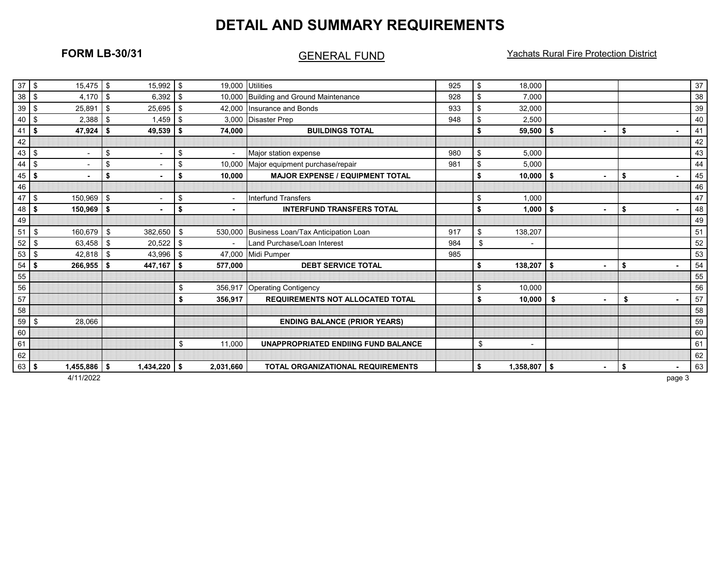# **DETAIL AND SUMMARY REQUIREMENTS**

## GENERAL FUND

**FORM LB-30/31 CENFRAL FUND Yachats Rural Fire Protection District** 

| 37 <sup>8</sup> | 15,475                                | \$  | 15,992                   | \$<br>19,000  | <b>Utilities</b>                           | 925 | \$<br>18,000                   |    |                      | 37 |
|-----------------|---------------------------------------|-----|--------------------------|---------------|--------------------------------------------|-----|--------------------------------|----|----------------------|----|
| $38$ \$         | 4,170                                 | \$  | 6,392                    | \$            | 10,000 Building and Ground Maintenance     | 928 | \$<br>7,000                    |    |                      | 38 |
| 39              | 25,891<br>l \$                        | \$  | 25,695                   | \$            | 42,000 Insurance and Bonds                 | 933 | \$<br>32,000                   |    |                      | 39 |
| 40              | \$<br>2,388                           | \$  | 1,459                    | \$<br>3.000   | <b>Disaster Prep</b>                       |     | \$<br>2,500                    |    |                      | 40 |
| 41              | 47,924<br>l \$                        | \$  | 49,539                   | \$<br>74,000  | <b>BUILDINGS TOTAL</b>                     |     | \$<br>59,500                   | \$ | \$                   | 41 |
| 42              |                                       |     |                          |               |                                            |     |                                |    |                      | 42 |
| 43              | <b>\$</b><br>$\overline{\phantom{a}}$ | \$  | $\overline{\phantom{a}}$ | \$            | Major station expense                      | 980 | \$<br>5,000                    |    |                      | 43 |
| 44              | $\sqrt{3}$<br>$\blacksquare$          | \$  | $\blacksquare$           | \$<br>10,000  | Major equipment purchase/repair            | 981 | \$<br>5,000                    |    |                      | 44 |
| 45              | l \$<br>٠                             | \$  |                          | \$<br>10,000  | <b>MAJOR EXPENSE / EQUIPMENT TOTAL</b>     |     | \$<br>10,000                   | \$ | \$                   | 45 |
| 46              |                                       |     |                          |               |                                            |     |                                |    |                      | 46 |
| 47              | 150,969<br>-\$                        | \$  |                          | \$            | <b>Interfund Transfers</b>                 |     | \$<br>1.000                    |    |                      | 47 |
| 48              | 150,969<br>l \$                       | \$  |                          | \$            | <b>INTERFUND TRANSFERS TOTAL</b>           |     | \$<br>1,000                    | \$ | \$                   | 48 |
| 49              |                                       |     |                          |               |                                            |     |                                |    |                      | 49 |
| 51              | - \$<br>160.679                       | \$  | 382,650                  | \$<br>530.000 | Business Loan/Tax Anticipation Loan        | 917 | \$<br>138,207                  |    |                      | 51 |
| 52              | l \$<br>63,458                        | \$  | 20,522                   | \$            | Land Purchase/Loan Interest                | 984 | \$<br>$\overline{\phantom{a}}$ |    |                      | 52 |
| 53              | 42,818<br><b>\$</b>                   | \$  | 43,996                   | \$            | 47,000 Midi Pumper                         | 985 |                                |    |                      | 53 |
| 54              | 266,955<br>l \$                       | Ŝ.  | 447,167                  | \$<br>577,000 | <b>DEBT SERVICE TOTAL</b>                  |     | \$<br>138,207                  | Ŝ. | \$<br>$\blacksquare$ | 54 |
| 55              |                                       |     |                          |               |                                            |     |                                |    |                      | 55 |
| 56              |                                       |     |                          | \$<br>356,917 | <b>Operating Contigency</b>                |     | \$<br>10.000                   |    |                      | 56 |
| 57              |                                       |     |                          | \$<br>356,917 | <b>REQUIREMENTS NOT ALLOCATED TOTAL</b>    |     | \$<br>10,000                   | \$ | \$<br>$\blacksquare$ | 57 |
| 58              |                                       |     |                          |               |                                            |     |                                |    |                      | 58 |
| 59              | 28,066<br>l \$                        |     |                          |               | <b>ENDING BALANCE (PRIOR YEARS)</b>        |     |                                |    |                      | 59 |
| 60              |                                       |     |                          |               |                                            |     |                                |    |                      | 60 |
| 61              |                                       |     |                          | \$<br>11,000  | <b>UNAPPROPRIATED ENDIING FUND BALANCE</b> |     | \$                             |    |                      | 61 |
| 62              |                                       |     |                          |               |                                            |     |                                |    |                      | 62 |
| 63              | 1,455,886<br>l \$                     | -\$ | $1,434,220$ \$           | 2,031,660     | <b>TOTAL ORGANIZATIONAL REQUIREMENTS</b>   |     | \$<br>$1,358,807$   \$         |    | \$<br>$\blacksquare$ | 63 |
|                 |                                       |     |                          |               |                                            |     |                                |    |                      |    |

4/11/2022 page 3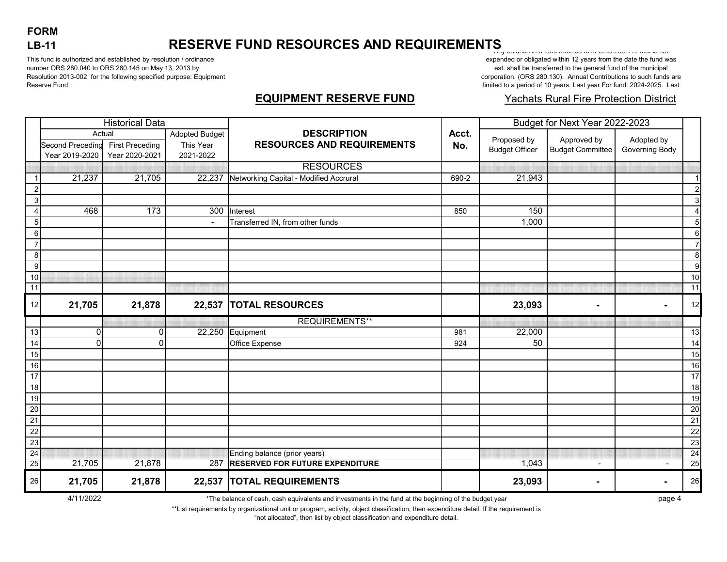# **FORM LB-11**

# **RESERVE FUND RESOURCES AND REQUIREMENTS**

This fund is authorized and established by resolution / ordinance number ORS 280.040 to ORS 280.145 on May 13, 2013 by Resolution 2013-002 for the following specified purpose: Equipment Reserve Fund

Any balance in a fund referred to in ORS 280.110 that is not expended or obligated within 12 years from the date the fund was est. shall be transferred to the general fund of the municipal corporation. (ORS 280.130). Annual Contributions to such funds are limited to a period of 10 years. Last year For fund: 2024-2025. Last

## **EQUIPMENT RESERVE FUND**

#### Yachats Rural Fire Protection District

| <b>Historical Data</b> |                         |                        |                       |                                        | Budget for Next Year 2022-2023 |                       |                          |                |                  |
|------------------------|-------------------------|------------------------|-----------------------|----------------------------------------|--------------------------------|-----------------------|--------------------------|----------------|------------------|
|                        | Actual                  |                        | <b>Adopted Budget</b> | <b>DESCRIPTION</b>                     | Acct.                          | Proposed by           | Approved by              | Adopted by     |                  |
|                        | <b>Second Preceding</b> | <b>First Preceding</b> | This Year             | <b>RESOURCES AND REQUIREMENTS</b>      | No.                            | <b>Budget Officer</b> | <b>Budget Committee</b>  | Governing Body |                  |
|                        | Year 2019-2020          | Year 2020-2021         | 2021-2022             |                                        |                                |                       |                          |                |                  |
|                        |                         |                        |                       | <b>RESOURCES</b>                       |                                |                       |                          |                |                  |
|                        | 21,237                  | 21,705                 | 22,237                | Networking Capital - Modified Accrural | 690-2                          | 21,943                |                          |                | $\overline{1}$   |
| $\overline{2}$         |                         |                        |                       |                                        |                                |                       |                          |                | $\overline{c}$   |
| $\mathsf 3$            |                         |                        |                       |                                        |                                |                       |                          |                | $\mathbf{3}$     |
| $\overline{4}$         | 468                     | 173                    |                       | 300 Interest                           | 850                            | 150                   |                          |                | $\overline{4}$   |
| 5                      |                         |                        |                       | Transferred IN, from other funds       |                                | 1,000                 |                          |                | 5                |
| 6                      |                         |                        |                       |                                        |                                |                       |                          |                | $\,6$            |
| $\overline{7}$         |                         |                        |                       |                                        |                                |                       |                          |                | $\overline{7}$   |
| 8                      |                         |                        |                       |                                        |                                |                       |                          |                | 8                |
| 9                      |                         |                        |                       |                                        |                                |                       |                          |                | $\boldsymbol{9}$ |
| $10$                   |                         |                        |                       |                                        |                                |                       |                          |                | 10               |
| 11                     |                         |                        |                       |                                        |                                |                       |                          |                | 11               |
| 12                     | 21,705                  | 21,878                 | 22,537                | <b>TOTAL RESOURCES</b>                 |                                | 23,093                | ٠                        | $\blacksquare$ | 12               |
|                        |                         |                        |                       | <b>REQUIREMENTS**</b>                  |                                |                       |                          |                |                  |
| $\overline{13}$        | $\mathbf 0$             | 0                      |                       | 22,250 Equipment                       | 981                            | 22,000                |                          |                | 13               |
| $\overline{14}$        | $\Omega$                | U                      |                       | Office Expense                         | 924                            | 50                    |                          |                | 14               |
| 15                     |                         |                        |                       |                                        |                                |                       |                          |                | 15               |
| 16                     |                         |                        |                       |                                        |                                |                       |                          |                | 16               |
| $\overline{17}$        |                         |                        |                       |                                        |                                |                       |                          |                | $\overline{17}$  |
| $\frac{1}{8}$          |                         |                        |                       |                                        |                                |                       |                          |                | 18               |
| 19                     |                         |                        |                       |                                        |                                |                       |                          |                | 19               |
| $\overline{20}$        |                         |                        |                       |                                        |                                |                       |                          |                | 20               |
| $\overline{21}$        |                         |                        |                       |                                        |                                |                       |                          |                | 21               |
| $\overline{22}$        |                         |                        |                       |                                        |                                |                       |                          |                | $\overline{22}$  |
| 23                     |                         |                        |                       |                                        |                                |                       |                          |                | 23               |
| 24                     |                         |                        |                       | Ending balance (prior years)           |                                |                       |                          |                | $\overline{24}$  |
| 25                     | 21,705                  | 21,878                 | 287                   | <b>RESERVED FOR FUTURE EXPENDITURE</b> |                                | 1,043                 | $\overline{\phantom{a}}$ |                | 25               |
| 26                     | 21,705                  | 21,878                 |                       | 22,537  TOTAL REQUIREMENTS             |                                | 23,093                | $\sim$                   | -              | 26               |

4/11/2022 page 4 \*The balance of cash, cash equivalents and investments in the fund at the beginning of the budget year

\*\*List requirements by organizational unit or program, activity, object classification, then expenditure detail. If the requirement is

"not allocated", then list by object classification and expenditure detail.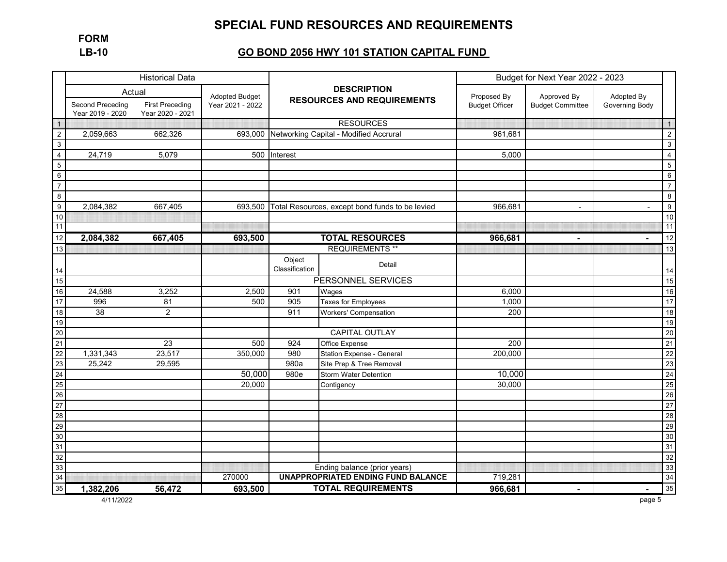# **SPECIAL FUND RESOURCES AND REQUIREMENTS**

**FORM LB-10**

## **GO BOND 2056 HWY 101 STATION CAPITAL FUND**

|                                                                                        |                                      | <b>Historical Data</b>                     |                                             |                                                |                                                 | Budget for Next Year 2022 - 2023     |                                        |                              |                         |
|----------------------------------------------------------------------------------------|--------------------------------------|--------------------------------------------|---------------------------------------------|------------------------------------------------|-------------------------------------------------|--------------------------------------|----------------------------------------|------------------------------|-------------------------|
|                                                                                        | Actual                               |                                            | <b>DESCRIPTION</b><br><b>Adopted Budget</b> |                                                |                                                 |                                      |                                        |                              |                         |
|                                                                                        | Second Preceding<br>Year 2019 - 2020 | <b>First Preceding</b><br>Year 2020 - 2021 | Year 2021 - 2022                            |                                                | <b>RESOURCES AND REQUIREMENTS</b>               | Proposed By<br><b>Budget Officer</b> | Approved By<br><b>Budget Committee</b> | Adopted By<br>Governing Body |                         |
| $\frac{1}{2}$                                                                          |                                      |                                            |                                             |                                                | <b>RESOURCES</b>                                |                                      |                                        |                              | $\mathbf{1}$            |
|                                                                                        | 2,059,663                            | 662,326                                    |                                             | 693,000 Networking Capital - Modified Accrural |                                                 | 961,681                              |                                        |                              | $\overline{2}$          |
| $\overline{\mathbf{3}}$                                                                |                                      |                                            |                                             |                                                |                                                 |                                      |                                        |                              | $\mathbf{3}$            |
| $\frac{6}{4}$                                                                          | 24,719                               | 5,079                                      | 500                                         | Interest                                       |                                                 |                                      |                                        |                              | $\overline{\mathbf{4}}$ |
| $\overline{5}$                                                                         |                                      |                                            |                                             |                                                |                                                 |                                      |                                        |                              | $\overline{5}$          |
| $6\overline{6}$                                                                        |                                      |                                            |                                             |                                                |                                                 |                                      |                                        |                              | $\,6\,$                 |
| $\overline{7}$                                                                         |                                      |                                            |                                             |                                                |                                                 |                                      |                                        |                              | $\overline{7}$          |
| $\infty$                                                                               |                                      |                                            |                                             |                                                |                                                 |                                      |                                        |                              | $\,8\,$                 |
| $\overline{9}$                                                                         | 2,084,382                            | 667,405                                    | 693,500                                     |                                                | Total Resources, except bond funds to be levied | 966,681                              | $\sim$                                 | $\blacksquare$               | $\boldsymbol{9}$        |
| $\frac{1}{10}$                                                                         |                                      |                                            |                                             |                                                |                                                 |                                      |                                        |                              | 10                      |
| 11                                                                                     |                                      |                                            |                                             |                                                |                                                 |                                      |                                        |                              | 11                      |
| 12                                                                                     | 2,084,382                            | 667,405                                    | 693,500                                     |                                                | <b>TOTAL RESOURCES</b>                          | 966,681                              | $\blacksquare$                         | $\blacksquare$               | 12                      |
| 13                                                                                     |                                      |                                            |                                             |                                                | <b>REQUIREMENTS**</b>                           |                                      |                                        |                              | 13                      |
|                                                                                        |                                      |                                            |                                             | Object                                         | Detail                                          |                                      |                                        |                              |                         |
| $\frac{14}{15}$                                                                        |                                      |                                            |                                             | Classification                                 |                                                 |                                      |                                        |                              | $14$                    |
|                                                                                        |                                      |                                            |                                             |                                                | PERSONNEL SERVICES                              |                                      |                                        |                              | 15                      |
| $\frac{1}{16}$                                                                         | 24,588                               | 3,252                                      | 2,500                                       | 901                                            | Wages                                           | 6,000                                |                                        |                              | 16                      |
| $\frac{1}{17}$                                                                         | 996                                  | 81                                         | 500                                         | 905                                            | Taxes for Employees                             | 1,000                                |                                        |                              | 17                      |
| 18                                                                                     | 38                                   | $\overline{2}$                             |                                             | 911                                            | <b>Workers' Compensation</b>                    | 200                                  |                                        |                              | 18                      |
| $\frac{1}{19}$                                                                         |                                      |                                            |                                             |                                                |                                                 |                                      |                                        |                              | 19                      |
|                                                                                        |                                      |                                            |                                             |                                                | <b>CAPITAL OUTLAY</b>                           |                                      |                                        |                              | $\overline{20}$         |
|                                                                                        |                                      | $\overline{23}$                            | 500                                         | 924                                            | Office Expense                                  | 200                                  |                                        |                              | 21                      |
|                                                                                        | 1,331,343                            | 23,517                                     | 350,000                                     | 980                                            | Station Expense - General                       | 200,000                              |                                        |                              | 22                      |
|                                                                                        | 25,242                               | 29,595                                     |                                             | 980a                                           | Site Prep & Tree Removal                        |                                      |                                        |                              | 23                      |
|                                                                                        |                                      |                                            | 50,000                                      | 980e                                           | <b>Storm Water Detention</b>                    | 10,000                               |                                        |                              | 24                      |
|                                                                                        |                                      |                                            | 20,000                                      |                                                | Contigency                                      | 30,000                               |                                        |                              | 25                      |
|                                                                                        |                                      |                                            |                                             |                                                |                                                 |                                      |                                        |                              | 26                      |
|                                                                                        |                                      |                                            |                                             |                                                |                                                 |                                      |                                        |                              | 27                      |
|                                                                                        |                                      |                                            |                                             |                                                |                                                 |                                      |                                        |                              | $\overline{28}$         |
|                                                                                        |                                      |                                            |                                             |                                                |                                                 |                                      |                                        |                              | 29                      |
|                                                                                        |                                      |                                            |                                             |                                                |                                                 |                                      |                                        |                              | 30                      |
| 20<br>21<br>23<br>24<br>25<br>26<br>27<br>28<br>29<br>33<br>33<br>33<br>34<br>33<br>33 |                                      |                                            |                                             |                                                |                                                 |                                      |                                        |                              | 31                      |
|                                                                                        |                                      |                                            |                                             |                                                |                                                 |                                      |                                        |                              | 32                      |
|                                                                                        |                                      |                                            |                                             |                                                | Ending balance (prior years)                    |                                      |                                        |                              | 33                      |
|                                                                                        |                                      |                                            | 270000                                      |                                                | <b>UNAPPROPRIATED ENDING FUND BALANCE</b>       | 719,281<br>966,681                   |                                        |                              | 34                      |
| 35                                                                                     | 1,382,206                            | 56,472                                     | 693,500                                     |                                                | <b>TOTAL REQUIREMENTS</b>                       |                                      | $\blacksquare$                         | $\blacksquare$               | 35                      |

4/11/2022 page 5